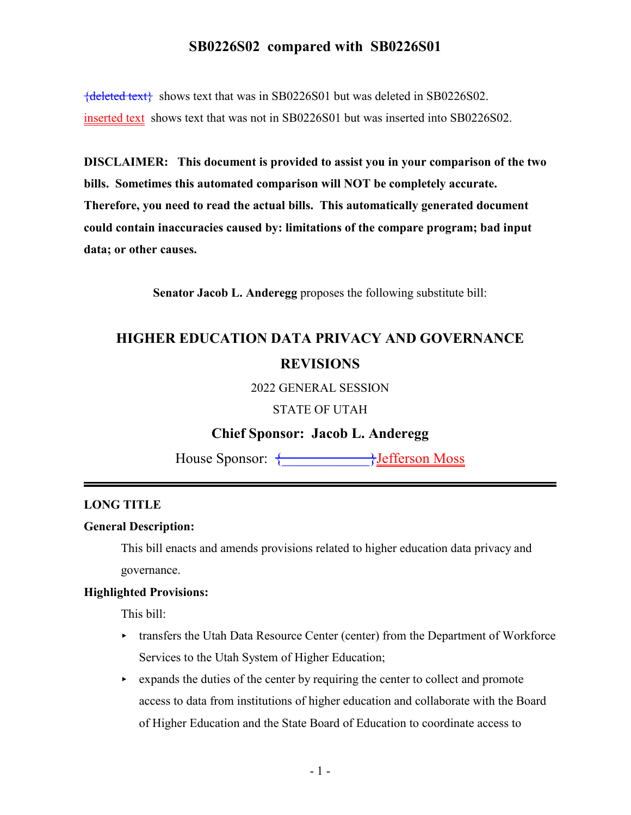{deleted text} shows text that was in SB0226S01 but was deleted in SB0226S02. inserted text shows text that was not in SB0226S01 but was inserted into SB0226S02.

**DISCLAIMER: This document is provided to assist you in your comparison of the two bills. Sometimes this automated comparison will NOT be completely accurate. Therefore, you need to read the actual bills. This automatically generated document could contain inaccuracies caused by: limitations of the compare program; bad input data; or other causes.**

**Senator Jacob L. Anderegg** proposes the following substitute bill:

# **HIGHER EDUCATION DATA PRIVACY AND GOVERNANCE REVISIONS**

2022 GENERAL SESSION

STATE OF UTAH

#### **Chief Sponsor: Jacob L. Anderegg**

House Sponsor:  $\longleftrightarrow$  Jefferson Moss

#### **LONG TITLE**

#### **General Description:**

This bill enacts and amends provisions related to higher education data privacy and governance.

#### **Highlighted Provisions:**

This bill:

- $\triangleright$  transfers the Utah Data Resource Center (center) from the Department of Workforce Services to the Utah System of Higher Education;
- $\rightarrow$  expands the duties of the center by requiring the center to collect and promote access to data from institutions of higher education and collaborate with the Board of Higher Education and the State Board of Education to coordinate access to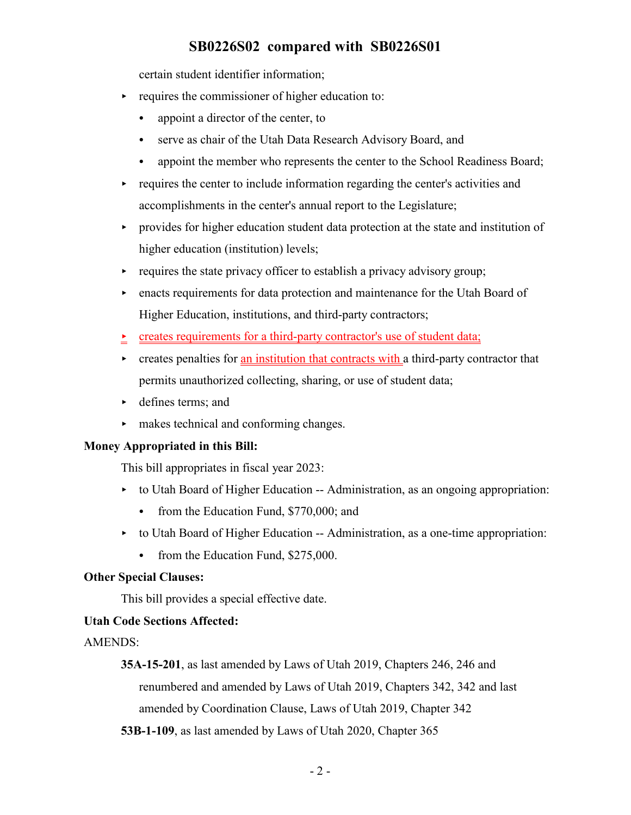certain student identifier information;

- $\triangleright$  requires the commissioner of higher education to:
	- appoint a director of the center, to
	- serve as chair of the Utah Data Research Advisory Board, and
	- appoint the member who represents the center to the School Readiness Board;
- requires the center to include information regarding the center's activities and accomplishments in the center's annual report to the Legislature;
- $\rightarrow$  provides for higher education student data protection at the state and institution of higher education (institution) levels;
- $\triangleright$  requires the state privacy officer to establish a privacy advisory group;
- < enacts requirements for data protection and maintenance for the Utah Board of Higher Education, institutions, and third-party contractors;
- creates requirements for a third-party contractor's use of student data;
- $\triangleright$  creates penalties for an institution that contracts with a third-party contractor that permits unauthorized collecting, sharing, or use of student data;
- < defines terms; and
- < makes technical and conforming changes.

### **Money Appropriated in this Bill:**

This bill appropriates in fiscal year 2023:

- $\rightarrow$  to Utah Board of Higher Education -- Administration, as an ongoing appropriation:
	- from the Education Fund,  $$770,000$ ; and
- $\rightarrow$  to Utah Board of Higher Education -- Administration, as a one-time appropriation:
	- from the Education Fund,  $$275,000$ .

### **Other Special Clauses:**

This bill provides a special effective date.

### **Utah Code Sections Affected:**

### AMENDS:

**35A-15-201**, as last amended by Laws of Utah 2019, Chapters 246, 246 and

renumbered and amended by Laws of Utah 2019, Chapters 342, 342 and last

amended by Coordination Clause, Laws of Utah 2019, Chapter 342

**53B-1-109**, as last amended by Laws of Utah 2020, Chapter 365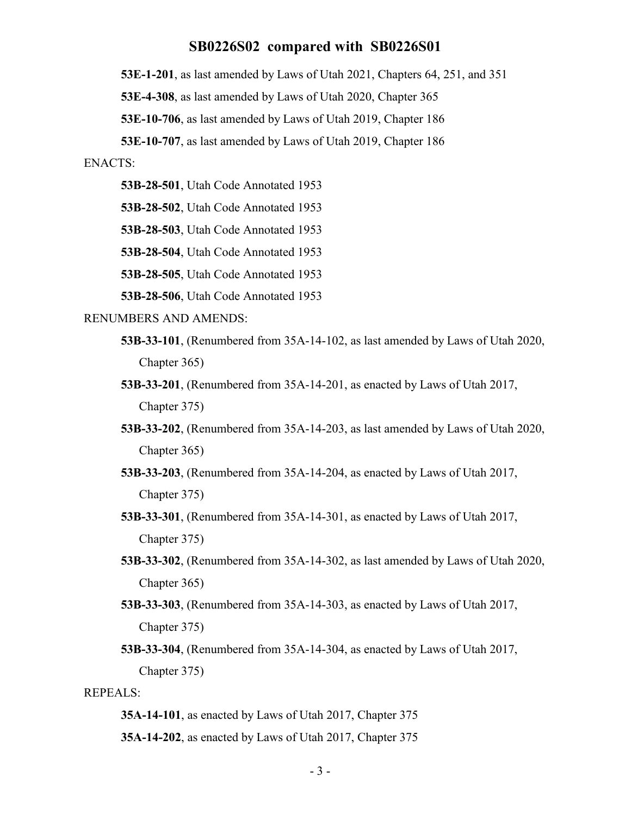**53E-1-201**, as last amended by Laws of Utah 2021, Chapters 64, 251, and 351

**53E-4-308**, as last amended by Laws of Utah 2020, Chapter 365

**53E-10-706**, as last amended by Laws of Utah 2019, Chapter 186

**53E-10-707**, as last amended by Laws of Utah 2019, Chapter 186

#### ENACTS:

**53B-28-501**, Utah Code Annotated 1953

**53B-28-502**, Utah Code Annotated 1953

**53B-28-503**, Utah Code Annotated 1953

**53B-28-504**, Utah Code Annotated 1953

**53B-28-505**, Utah Code Annotated 1953

**53B-28-506**, Utah Code Annotated 1953

#### RENUMBERS AND AMENDS:

- **53B-33-101**, (Renumbered from 35A-14-102, as last amended by Laws of Utah 2020, Chapter 365)
- **53B-33-201**, (Renumbered from 35A-14-201, as enacted by Laws of Utah 2017, Chapter 375)
- **53B-33-202**, (Renumbered from 35A-14-203, as last amended by Laws of Utah 2020, Chapter 365)
- **53B-33-203**, (Renumbered from 35A-14-204, as enacted by Laws of Utah 2017, Chapter 375)
- **53B-33-301**, (Renumbered from 35A-14-301, as enacted by Laws of Utah 2017, Chapter 375)
- **53B-33-302**, (Renumbered from 35A-14-302, as last amended by Laws of Utah 2020, Chapter 365)
- **53B-33-303**, (Renumbered from 35A-14-303, as enacted by Laws of Utah 2017, Chapter 375)
- **53B-33-304**, (Renumbered from 35A-14-304, as enacted by Laws of Utah 2017, Chapter 375)

#### REPEALS:

- **35A-14-101**, as enacted by Laws of Utah 2017, Chapter 375
- **35A-14-202**, as enacted by Laws of Utah 2017, Chapter 375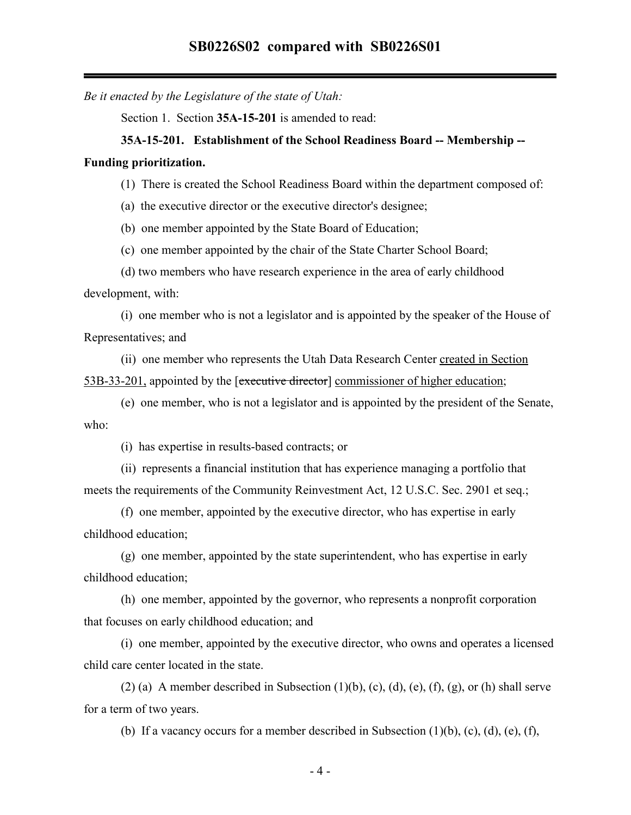*Be it enacted by the Legislature of the state of Utah:*

Section 1. Section **35A-15-201** is amended to read:

**35A-15-201. Establishment of the School Readiness Board -- Membership --**

#### **Funding prioritization.**

- (1) There is created the School Readiness Board within the department composed of:
- (a) the executive director or the executive director's designee;
- (b) one member appointed by the State Board of Education;
- (c) one member appointed by the chair of the State Charter School Board;
- (d) two members who have research experience in the area of early childhood

development, with:

(i) one member who is not a legislator and is appointed by the speaker of the House of Representatives; and

(ii) one member who represents the Utah Data Research Center created in Section 53B-33-201, appointed by the [executive director] commissioner of higher education;

(e) one member, who is not a legislator and is appointed by the president of the Senate, who:

(i) has expertise in results-based contracts; or

(ii) represents a financial institution that has experience managing a portfolio that meets the requirements of the Community Reinvestment Act, 12 U.S.C. Sec. 2901 et seq.;

(f) one member, appointed by the executive director, who has expertise in early childhood education;

(g) one member, appointed by the state superintendent, who has expertise in early childhood education;

(h) one member, appointed by the governor, who represents a nonprofit corporation that focuses on early childhood education; and

(i) one member, appointed by the executive director, who owns and operates a licensed child care center located in the state.

(2) (a) A member described in Subsection  $(1)(b)$ ,  $(c)$ ,  $(d)$ ,  $(e)$ ,  $(f)$ ,  $(g)$ , or  $(h)$  shall serve for a term of two years.

(b) If a vacancy occurs for a member described in Subsection  $(1)(b)$ ,  $(c)$ ,  $(d)$ ,  $(e)$ ,  $(f)$ ,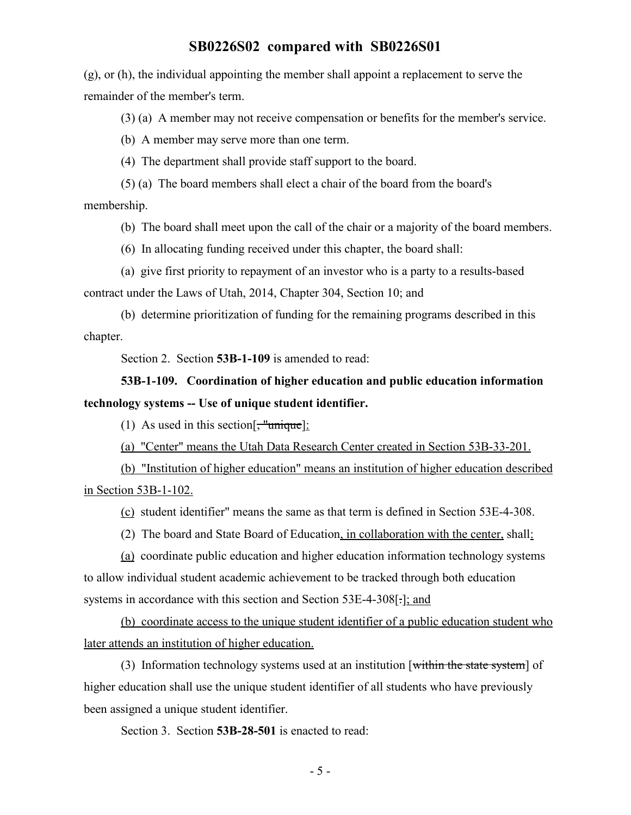(g), or (h), the individual appointing the member shall appoint a replacement to serve the remainder of the member's term.

(3) (a) A member may not receive compensation or benefits for the member's service.

(b) A member may serve more than one term.

(4) The department shall provide staff support to the board.

(5) (a) The board members shall elect a chair of the board from the board's

membership.

(b) The board shall meet upon the call of the chair or a majority of the board members.

(6) In allocating funding received under this chapter, the board shall:

(a) give first priority to repayment of an investor who is a party to a results-based contract under the Laws of Utah, 2014, Chapter 304, Section 10; and

(b) determine prioritization of funding for the remaining programs described in this chapter.

Section 2. Section **53B-1-109** is amended to read:

# **53B-1-109. Coordination of higher education and public education information technology systems -- Use of unique student identifier.**

(1) As used in this section[ $\frac{1}{2}$  unique]:

(a) "Center" means the Utah Data Research Center created in Section 53B-33-201.

(b) "Institution of higher education" means an institution of higher education described in Section 53B-1-102.

(c) student identifier" means the same as that term is defined in Section 53E-4-308.

(2) The board and State Board of Education, in collaboration with the center, shall:

(a) coordinate public education and higher education information technology systems to allow individual student academic achievement to be tracked through both education systems in accordance with this section and Section 53E-4-308[.]; and

(b) coordinate access to the unique student identifier of a public education student who later attends an institution of higher education.

(3) Information technology systems used at an institution [within the state system] of higher education shall use the unique student identifier of all students who have previously been assigned a unique student identifier.

Section 3. Section **53B-28-501** is enacted to read: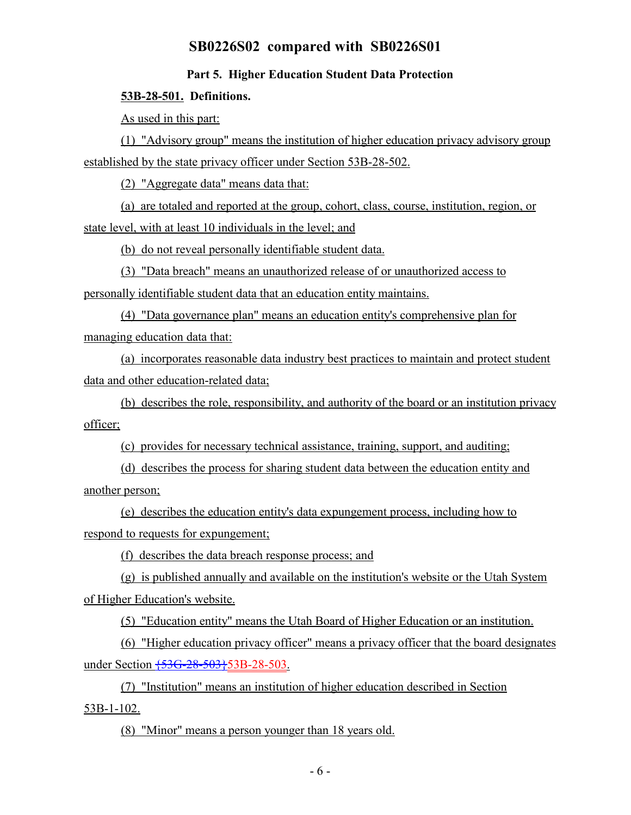#### **Part 5. Higher Education Student Data Protection**

#### **53B-28-501. Definitions.**

As used in this part:

(1) "Advisory group" means the institution of higher education privacy advisory group established by the state privacy officer under Section 53B-28-502.

(2) "Aggregate data" means data that:

(a) are totaled and reported at the group, cohort, class, course, institution, region, or state level, with at least 10 individuals in the level; and

(b) do not reveal personally identifiable student data.

(3) "Data breach" means an unauthorized release of or unauthorized access to personally identifiable student data that an education entity maintains.

(4) "Data governance plan" means an education entity's comprehensive plan for managing education data that:

(a) incorporates reasonable data industry best practices to maintain and protect student data and other education-related data;

(b) describes the role, responsibility, and authority of the board or an institution privacy officer;

(c) provides for necessary technical assistance, training, support, and auditing;

(d) describes the process for sharing student data between the education entity and another person;

(e) describes the education entity's data expungement process, including how to respond to requests for expungement;

(f) describes the data breach response process; and

(g) is published annually and available on the institution's website or the Utah System of Higher Education's website.

(5) "Education entity" means the Utah Board of Higher Education or an institution.

(6) "Higher education privacy officer" means a privacy officer that the board designates under Section <del>{53G-28-503}</del>53B-28-503.

(7) "Institution" means an institution of higher education described in Section 53B-1-102.

(8) "Minor" means a person younger than 18 years old.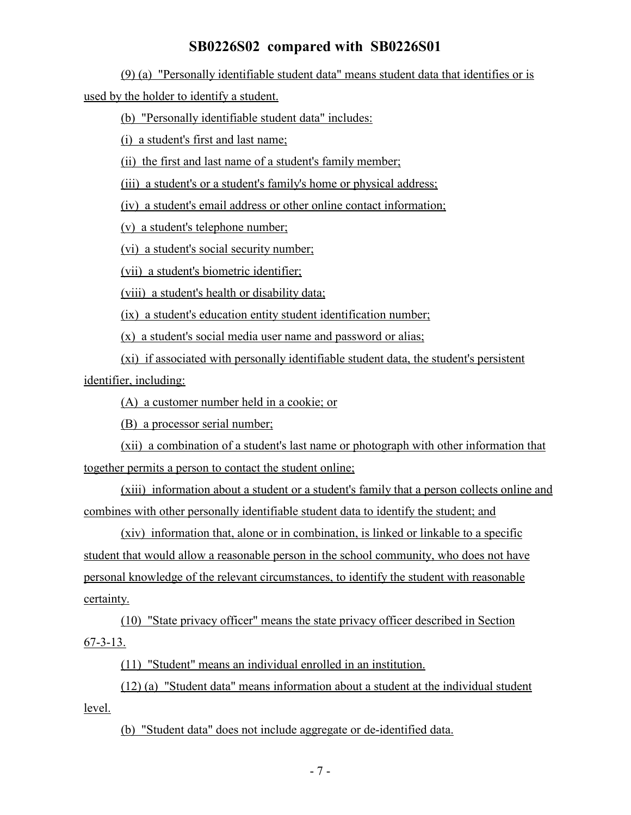(9) (a) "Personally identifiable student data" means student data that identifies or is used by the holder to identify a student.

(b) "Personally identifiable student data" includes:

(i) a student's first and last name;

(ii) the first and last name of a student's family member;

(iii) a student's or a student's family's home or physical address;

(iv) a student's email address or other online contact information;

(v) a student's telephone number;

(vi) a student's social security number;

(vii) a student's biometric identifier;

(viii) a student's health or disability data;

(ix) a student's education entity student identification number;

(x) a student's social media user name and password or alias;

(xi) if associated with personally identifiable student data, the student's persistent identifier, including:

(A) a customer number held in a cookie; or

(B) a processor serial number;

(xii) a combination of a student's last name or photograph with other information that together permits a person to contact the student online;

(xiii) information about a student or a student's family that a person collects online and combines with other personally identifiable student data to identify the student; and

(xiv) information that, alone or in combination, is linked or linkable to a specific student that would allow a reasonable person in the school community, who does not have personal knowledge of the relevant circumstances, to identify the student with reasonable certainty.

(10) "State privacy officer" means the state privacy officer described in Section 67-3-13.

(11) "Student" means an individual enrolled in an institution.

(12) (a) "Student data" means information about a student at the individual student level.

(b) "Student data" does not include aggregate or de-identified data.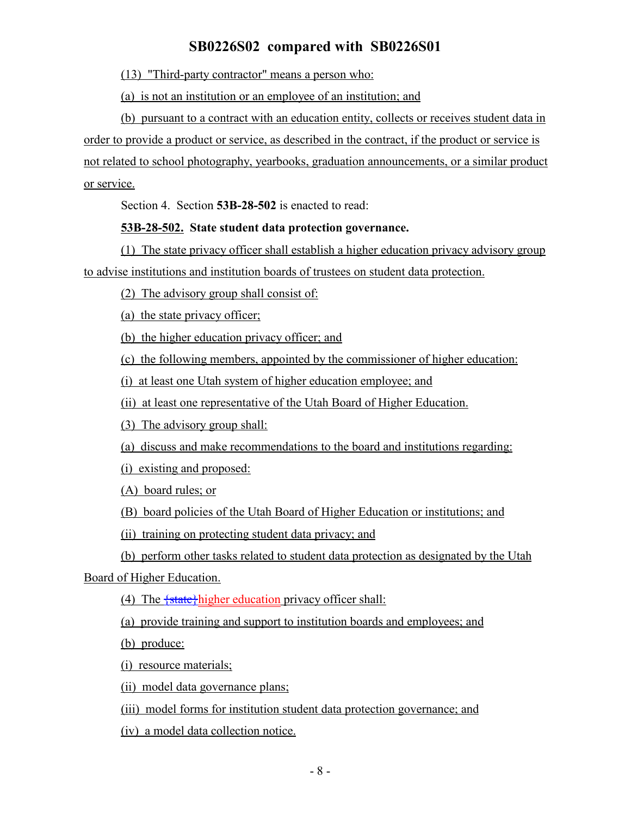(13) "Third-party contractor" means a person who:

(a) is not an institution or an employee of an institution; and

(b) pursuant to a contract with an education entity, collects or receives student data in order to provide a product or service, as described in the contract, if the product or service is not related to school photography, yearbooks, graduation announcements, or a similar product or service.

Section 4. Section **53B-28-502** is enacted to read:

## **53B-28-502. State student data protection governance.**

(1) The state privacy officer shall establish a higher education privacy advisory group to advise institutions and institution boards of trustees on student data protection.

(2) The advisory group shall consist of:

(a) the state privacy officer;

(b) the higher education privacy officer; and

(c) the following members, appointed by the commissioner of higher education:

(i) at least one Utah system of higher education employee; and

(ii) at least one representative of the Utah Board of Higher Education.

(3) The advisory group shall:

(a) discuss and make recommendations to the board and institutions regarding:

(i) existing and proposed:

(A) board rules; or

(B) board policies of the Utah Board of Higher Education or institutions; and

(ii) training on protecting student data privacy; and

(b) perform other tasks related to student data protection as designated by the Utah

Board of Higher Education.

(4) The  $\{state\}$ higher education privacy officer shall:

(a) provide training and support to institution boards and employees; and

(b) produce:

(i) resource materials;

(ii) model data governance plans;

(iii) model forms for institution student data protection governance; and

(iv) a model data collection notice.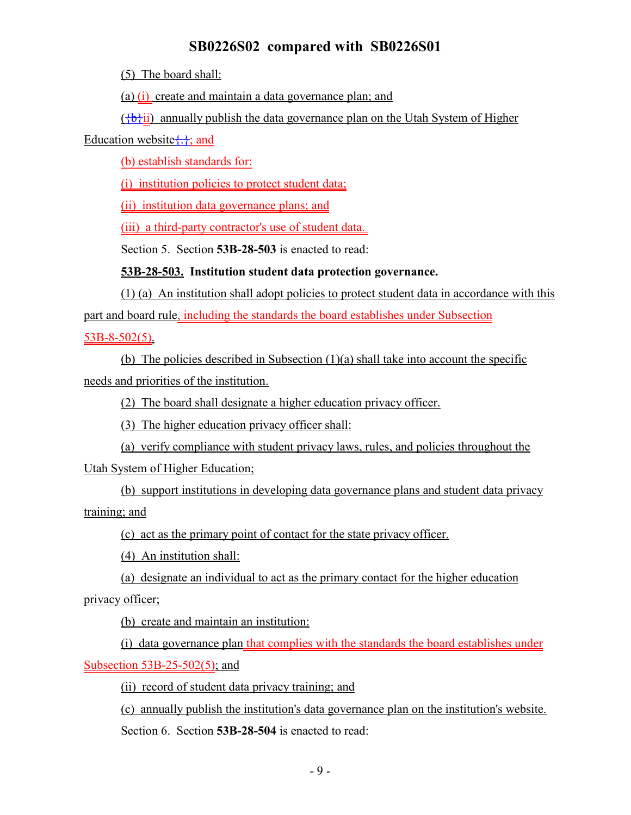(5) The board shall:

(a) (i) create and maintain a data governance plan; and

 $({b}i)$  annually publish the data governance plan on the Utah System of Higher

### Education website $\{\cdot\}$ ; and

(b) establish standards for:

(i) institution policies to protect student data;

(ii) institution data governance plans; and

(iii) a third-party contractor's use of student data.

Section 5. Section **53B-28-503** is enacted to read:

## **53B-28-503. Institution student data protection governance.**

(1) (a) An institution shall adopt policies to protect student data in accordance with this part and board rule, including the standards the board establishes under Subsection

 $53B-8-502(5)$ .

(b) The policies described in Subsection (1)(a) shall take into account the specific needs and priorities of the institution.

(2) The board shall designate a higher education privacy officer.

(3) The higher education privacy officer shall:

(a) verify compliance with student privacy laws, rules, and policies throughout the

Utah System of Higher Education;

(b) support institutions in developing data governance plans and student data privacy training; and

(c) act as the primary point of contact for the state privacy officer.

(4) An institution shall:

(a) designate an individual to act as the primary contact for the higher education

privacy officer;

(b) create and maintain an institution:

(i) data governance plan that complies with the standards the board establishes under Subsection 53B-25-502(5); and

(ii) record of student data privacy training; and

(c) annually publish the institution's data governance plan on the institution's website.

Section 6. Section **53B-28-504** is enacted to read: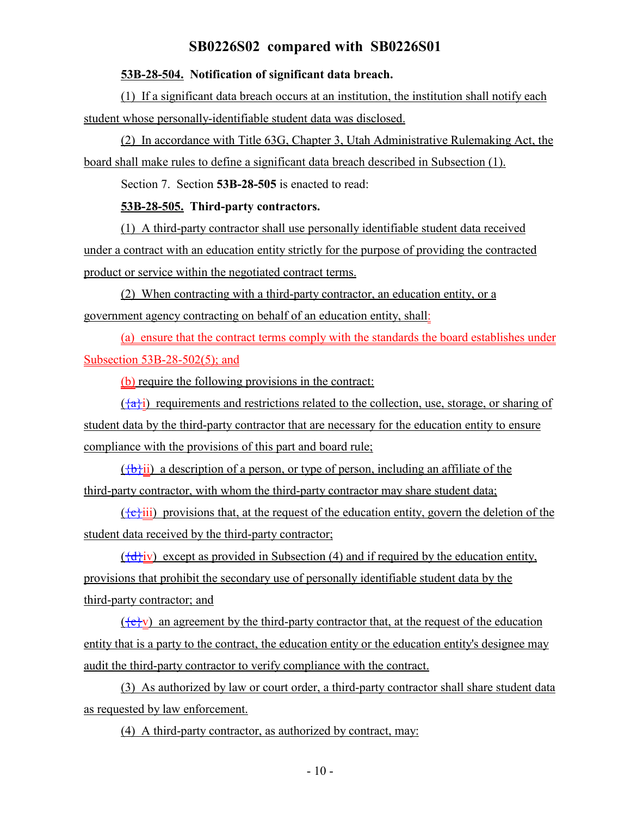#### **53B-28-504. Notification of significant data breach.**

(1) If a significant data breach occurs at an institution, the institution shall notify each student whose personally-identifiable student data was disclosed.

(2) In accordance with Title 63G, Chapter 3, Utah Administrative Rulemaking Act, the board shall make rules to define a significant data breach described in Subsection (1).

Section 7. Section **53B-28-505** is enacted to read:

## **53B-28-505. Third-party contractors.**

(1) A third-party contractor shall use personally identifiable student data received under a contract with an education entity strictly for the purpose of providing the contracted product or service within the negotiated contract terms.

(2) When contracting with a third-party contractor, an education entity, or a government agency contracting on behalf of an education entity, shall:

(a) ensure that the contract terms comply with the standards the board establishes under Subsection 53B-28-502(5); and

(b) require the following provisions in the contract:

 $({a}i)$  requirements and restrictions related to the collection, use, storage, or sharing of student data by the third-party contractor that are necessary for the education entity to ensure compliance with the provisions of this part and board rule;

 $({b}^{\dagger})$  a description of a person, or type of person, including an affiliate of the third-party contractor, with whom the third-party contractor may share student data;

 $({c}^{\dagger}$ iii) provisions that, at the request of the education entity, govern the deletion of the student data received by the third-party contractor;

 $({a}^{\dagger}$ iv) except as provided in Subsection (4) and if required by the education entity, provisions that prohibit the secondary use of personally identifiable student data by the third-party contractor; and

 $({e}^{\psi}v)$  an agreement by the third-party contractor that, at the request of the education entity that is a party to the contract, the education entity or the education entity's designee may audit the third-party contractor to verify compliance with the contract.

(3) As authorized by law or court order, a third-party contractor shall share student data as requested by law enforcement.

(4) A third-party contractor, as authorized by contract, may: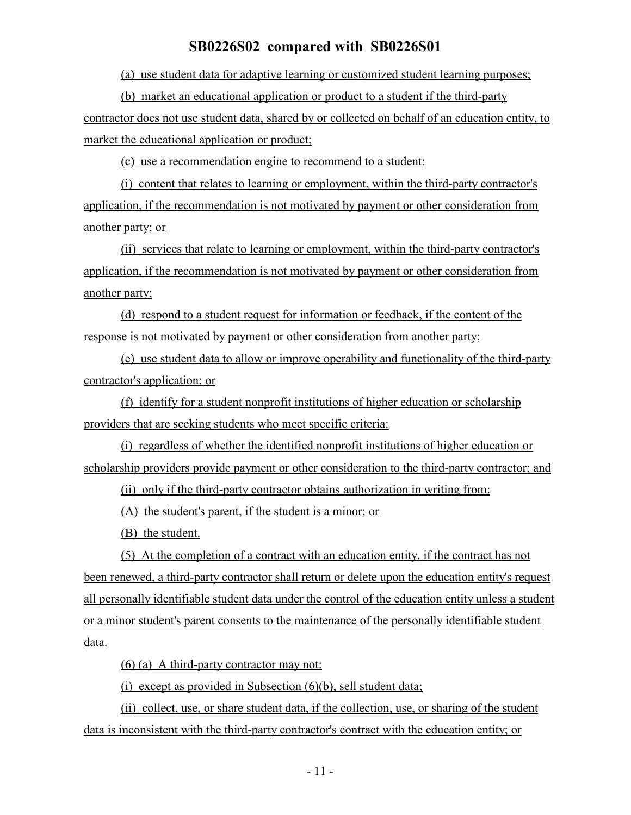(a) use student data for adaptive learning or customized student learning purposes;

(b) market an educational application or product to a student if the third-party contractor does not use student data, shared by or collected on behalf of an education entity, to market the educational application or product;

(c) use a recommendation engine to recommend to a student:

(i) content that relates to learning or employment, within the third-party contractor's application, if the recommendation is not motivated by payment or other consideration from another party; or

(ii) services that relate to learning or employment, within the third-party contractor's application, if the recommendation is not motivated by payment or other consideration from another party;

(d) respond to a student request for information or feedback, if the content of the response is not motivated by payment or other consideration from another party;

(e) use student data to allow or improve operability and functionality of the third-party contractor's application; or

(f) identify for a student nonprofit institutions of higher education or scholarship providers that are seeking students who meet specific criteria:

(i) regardless of whether the identified nonprofit institutions of higher education or scholarship providers provide payment or other consideration to the third-party contractor; and

(ii) only if the third-party contractor obtains authorization in writing from:

(A) the student's parent, if the student is a minor; or

(B) the student.

(5) At the completion of a contract with an education entity, if the contract has not been renewed, a third-party contractor shall return or delete upon the education entity's request all personally identifiable student data under the control of the education entity unless a student or a minor student's parent consents to the maintenance of the personally identifiable student data.

(6) (a) A third-party contractor may not:

(i) except as provided in Subsection  $(6)(b)$ , sell student data;

(ii) collect, use, or share student data, if the collection, use, or sharing of the student data is inconsistent with the third-party contractor's contract with the education entity; or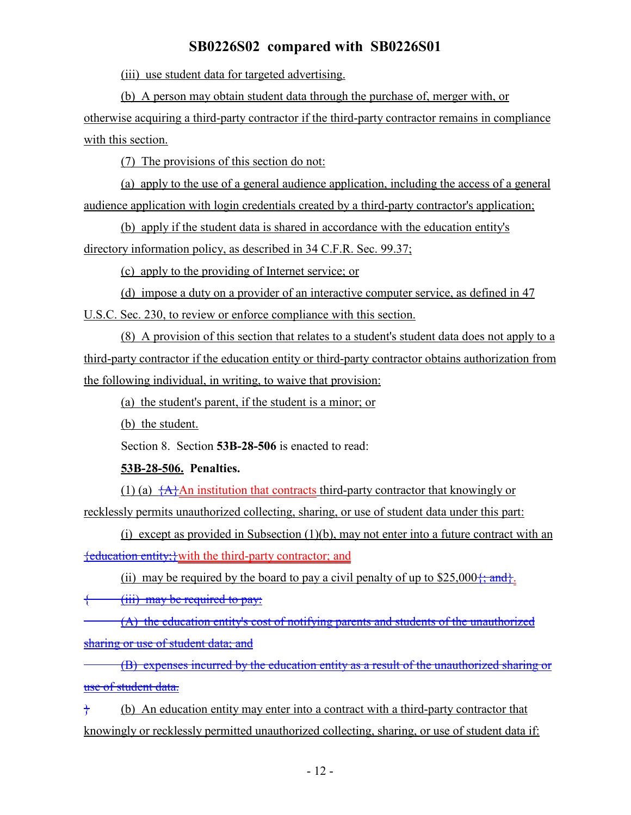(iii) use student data for targeted advertising.

(b) A person may obtain student data through the purchase of, merger with, or otherwise acquiring a third-party contractor if the third-party contractor remains in compliance with this section.

(7) The provisions of this section do not:

(a) apply to the use of a general audience application, including the access of a general audience application with login credentials created by a third-party contractor's application;

(b) apply if the student data is shared in accordance with the education entity's directory information policy, as described in 34 C.F.R. Sec. 99.37;

(c) apply to the providing of Internet service; or

(d) impose a duty on a provider of an interactive computer service, as defined in 47 U.S.C. Sec. 230, to review or enforce compliance with this section.

(8) A provision of this section that relates to a student's student data does not apply to a third-party contractor if the education entity or third-party contractor obtains authorization from the following individual, in writing, to waive that provision:

(a) the student's parent, if the student is a minor; or

(b) the student.

Section 8. Section **53B-28-506** is enacted to read:

**53B-28-506. Penalties.**

(1) (a)  $\{A\}$ An institution that contracts third-party contractor that knowingly or recklessly permits unauthorized collecting, sharing, or use of student data under this part:

(i) except as provided in Subsection (1)(b), may not enter into a future contract with an {education entity;}with the third-party contractor; and

(ii) may be required by the board to pay a civil penalty of up to  $$25,000$ ; and}.

(iii) may be required to pay:

(A) the education entity's cost of notifying parents and students of the unauthorized sharing or use of student data; and

(B) expenses incurred by the education entity as a result of the unauthorized sharing or use of student data.

 $\uparrow$  (b) An education entity may enter into a contract with a third-party contractor that knowingly or recklessly permitted unauthorized collecting, sharing, or use of student data if: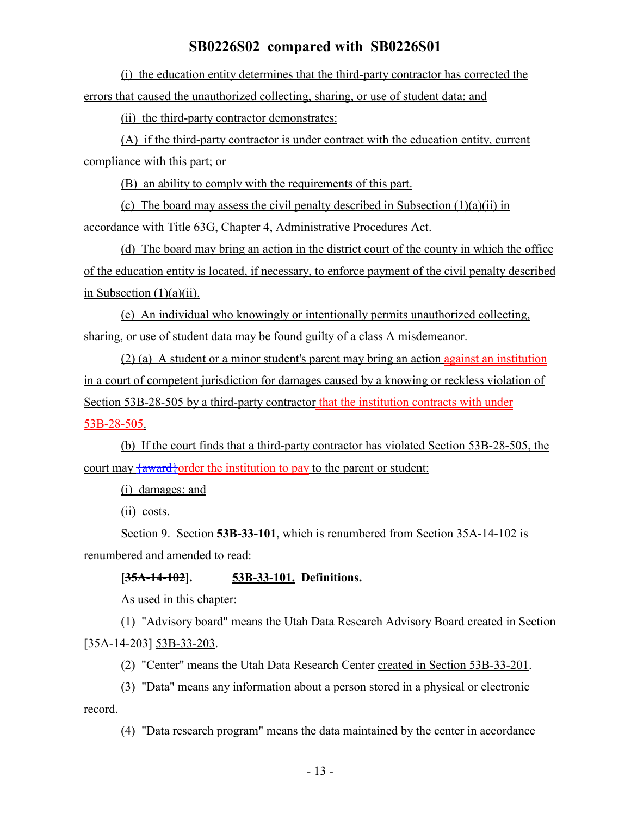(i) the education entity determines that the third-party contractor has corrected the errors that caused the unauthorized collecting, sharing, or use of student data; and

(ii) the third-party contractor demonstrates:

(A) if the third-party contractor is under contract with the education entity, current compliance with this part; or

(B) an ability to comply with the requirements of this part.

(c) The board may assess the civil penalty described in Subsection  $(1)(a)(ii)$  in accordance with Title 63G, Chapter 4, Administrative Procedures Act.

(d) The board may bring an action in the district court of the county in which the office of the education entity is located, if necessary, to enforce payment of the civil penalty described in Subsection  $(1)(a)(ii)$ .

(e) An individual who knowingly or intentionally permits unauthorized collecting, sharing, or use of student data may be found guilty of a class A misdemeanor.

(2) (a) A student or a minor student's parent may bring an action against an institution in a court of competent jurisdiction for damages caused by a knowing or reckless violation of Section 53B-28-505 by a third-party contractor that the institution contracts with under 53B-28-505.

(b) If the court finds that a third-party contractor has violated Section 53B-28-505, the court may  $\frac{4}{3}$  court may  $\frac{4}{3}$  coder the institution to pay to the parent or student:

(i) damages; and

(ii) costs.

Section 9. Section **53B-33-101**, which is renumbered from Section 35A-14-102 is renumbered and amended to read:

### **[35A-14-102]. 53B-33-101. Definitions.**

As used in this chapter:

(1) "Advisory board" means the Utah Data Research Advisory Board created in Section  $[35A-14-203]$  53B-33-203.

(2) "Center" means the Utah Data Research Center created in Section 53B-33-201.

(3) "Data" means any information about a person stored in a physical or electronic record.

(4) "Data research program" means the data maintained by the center in accordance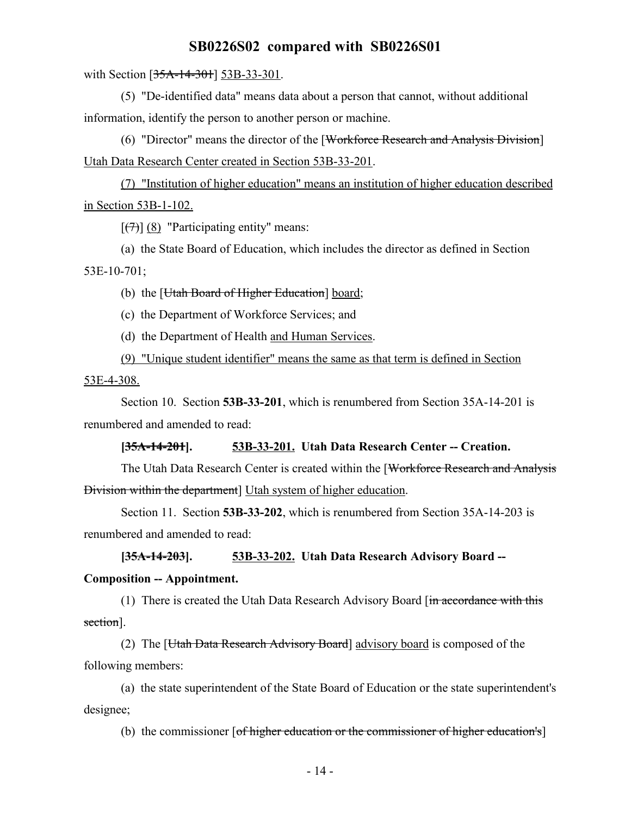with Section [35A-14-301] 53B-33-301.

(5) "De-identified data" means data about a person that cannot, without additional information, identify the person to another person or machine.

(6) "Director" means the director of the [Workforce Research and Analysis Division] Utah Data Research Center created in Section 53B-33-201.

(7) "Institution of higher education" means an institution of higher education described in Section 53B-1-102.

 $[\overline{(7)}]$  (8) "Participating entity" means:

(a) the State Board of Education, which includes the director as defined in Section 53E-10-701;

(b) the  $[Utah$  Board of Higher Education board;

(c) the Department of Workforce Services; and

(d) the Department of Health and Human Services.

(9) "Unique student identifier" means the same as that term is defined in Section

53E-4-308.

Section 10. Section **53B-33-201**, which is renumbered from Section 35A-14-201 is renumbered and amended to read:

#### **[35A-14-201]. 53B-33-201. Utah Data Research Center -- Creation.**

The Utah Data Research Center is created within the [Workforce Research and Analysis Division within the department] Utah system of higher education.

Section 11. Section **53B-33-202**, which is renumbered from Section 35A-14-203 is renumbered and amended to read:

#### **[35A-14-203]. 53B-33-202. Utah Data Research Advisory Board --**

#### **Composition -- Appointment.**

(1) There is created the Utah Data Research Advisory Board [in accordance with this section].

(2) The [Utah Data Research Advisory Board] advisory board is composed of the following members:

(a) the state superintendent of the State Board of Education or the state superintendent's designee;

(b) the commissioner [of higher education or the commissioner of higher education's]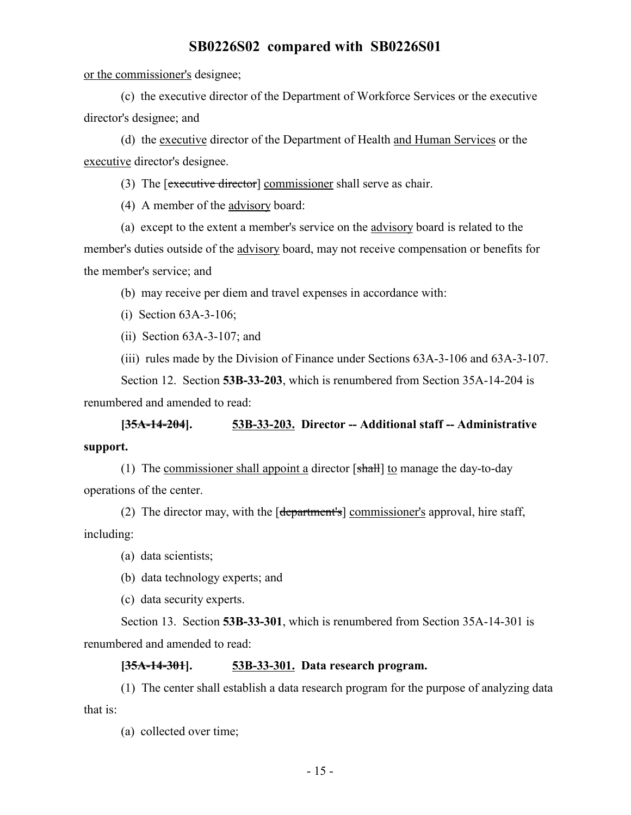or the commissioner's designee;

(c) the executive director of the Department of Workforce Services or the executive director's designee; and

(d) the executive director of the Department of Health and Human Services or the executive director's designee.

(3) The [executive director] commissioner shall serve as chair.

(4) A member of the advisory board:

(a) except to the extent a member's service on the advisory board is related to the member's duties outside of the advisory board, may not receive compensation or benefits for the member's service; and

(b) may receive per diem and travel expenses in accordance with:

(i) Section 63A-3-106;

(ii) Section 63A-3-107; and

(iii) rules made by the Division of Finance under Sections 63A-3-106 and 63A-3-107.

Section 12. Section **53B-33-203**, which is renumbered from Section 35A-14-204 is renumbered and amended to read:

**[35A-14-204]. 53B-33-203. Director -- Additional staff -- Administrative support.**

(1) The commissioner shall appoint a director  $[\text{shall}]$  to manage the day-to-day operations of the center.

(2) The director may, with the [department's] commissioner's approval, hire staff, including:

(a) data scientists;

(b) data technology experts; and

(c) data security experts.

Section 13. Section **53B-33-301**, which is renumbered from Section 35A-14-301 is renumbered and amended to read:

### **[35A-14-301]. 53B-33-301. Data research program.**

(1) The center shall establish a data research program for the purpose of analyzing data that is:

(a) collected over time;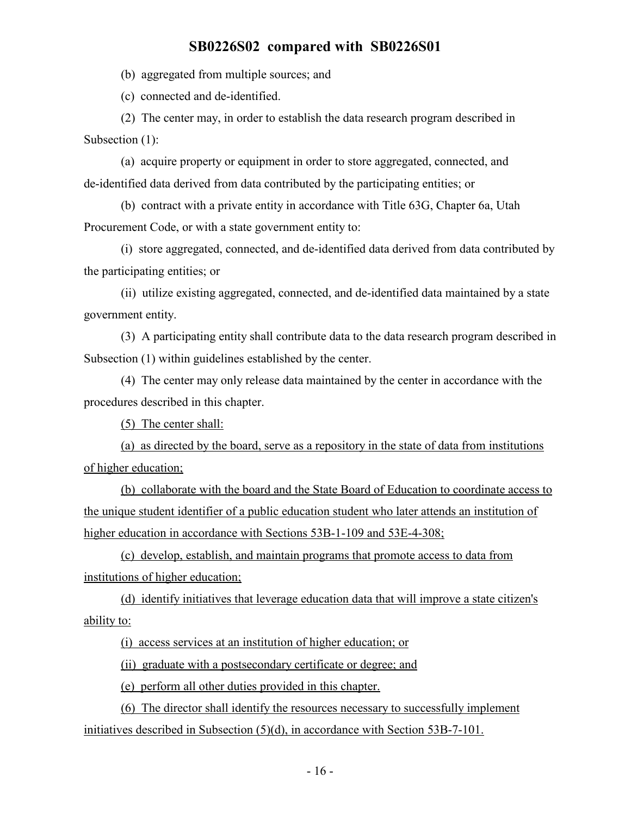(b) aggregated from multiple sources; and

(c) connected and de-identified.

(2) The center may, in order to establish the data research program described in Subsection (1):

(a) acquire property or equipment in order to store aggregated, connected, and de-identified data derived from data contributed by the participating entities; or

(b) contract with a private entity in accordance with Title 63G, Chapter 6a, Utah Procurement Code, or with a state government entity to:

(i) store aggregated, connected, and de-identified data derived from data contributed by the participating entities; or

(ii) utilize existing aggregated, connected, and de-identified data maintained by a state government entity.

(3) A participating entity shall contribute data to the data research program described in Subsection (1) within guidelines established by the center.

(4) The center may only release data maintained by the center in accordance with the procedures described in this chapter.

(5) The center shall:

(a) as directed by the board, serve as a repository in the state of data from institutions of higher education;

(b) collaborate with the board and the State Board of Education to coordinate access to the unique student identifier of a public education student who later attends an institution of higher education in accordance with Sections 53B-1-109 and 53E-4-308;

(c) develop, establish, and maintain programs that promote access to data from institutions of higher education;

(d) identify initiatives that leverage education data that will improve a state citizen's ability to:

(i) access services at an institution of higher education; or

(ii) graduate with a postsecondary certificate or degree; and

(e) perform all other duties provided in this chapter.

(6) The director shall identify the resources necessary to successfully implement initiatives described in Subsection (5)(d), in accordance with Section 53B-7-101.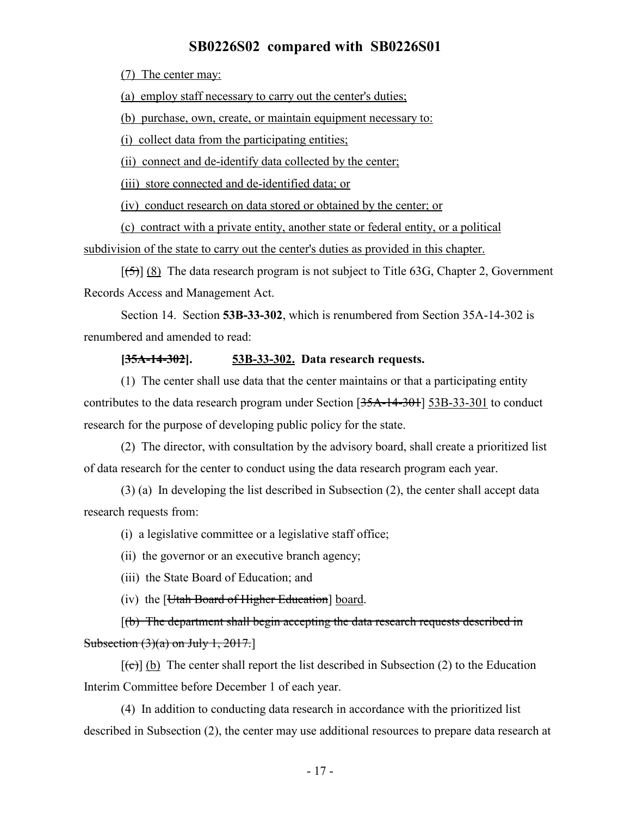(7) The center may:

(a) employ staff necessary to carry out the center's duties;

(b) purchase, own, create, or maintain equipment necessary to:

(i) collect data from the participating entities;

(ii) connect and de-identify data collected by the center;

(iii) store connected and de-identified data; or

(iv) conduct research on data stored or obtained by the center; or

(c) contract with a private entity, another state or federal entity, or a political subdivision of the state to carry out the center's duties as provided in this chapter.

 $[5]$  (8) The data research program is not subject to Title 63G, Chapter 2, Government Records Access and Management Act.

Section 14. Section **53B-33-302**, which is renumbered from Section 35A-14-302 is renumbered and amended to read:

#### **[35A-14-302]. 53B-33-302. Data research requests.**

(1) The center shall use data that the center maintains or that a participating entity contributes to the data research program under Section [35A-14-301] 53B-33-301 to conduct research for the purpose of developing public policy for the state.

(2) The director, with consultation by the advisory board, shall create a prioritized list of data research for the center to conduct using the data research program each year.

(3) (a) In developing the list described in Subsection (2), the center shall accept data research requests from:

(i) a legislative committee or a legislative staff office;

(ii) the governor or an executive branch agency;

(iii) the State Board of Education; and

(iv) the [Utah Board of Higher Education] board.

 $[(b)$  The department shall begin accepting the data research requests described in Subsection  $(3)(a)$  on July 1, 2017.

 $[\text{e}(\epsilon)]$  (b) The center shall report the list described in Subsection (2) to the Education Interim Committee before December 1 of each year.

(4) In addition to conducting data research in accordance with the prioritized list described in Subsection (2), the center may use additional resources to prepare data research at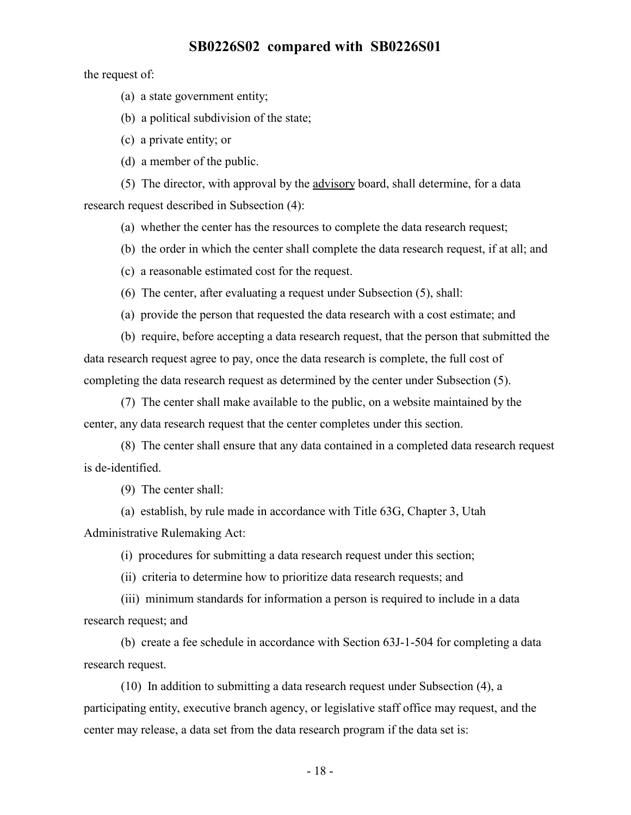the request of:

(a) a state government entity;

(b) a political subdivision of the state;

(c) a private entity; or

(d) a member of the public.

(5) The director, with approval by the advisory board, shall determine, for a data research request described in Subsection (4):

(a) whether the center has the resources to complete the data research request;

(b) the order in which the center shall complete the data research request, if at all; and

(c) a reasonable estimated cost for the request.

(6) The center, after evaluating a request under Subsection (5), shall:

(a) provide the person that requested the data research with a cost estimate; and

(b) require, before accepting a data research request, that the person that submitted the data research request agree to pay, once the data research is complete, the full cost of completing the data research request as determined by the center under Subsection (5).

(7) The center shall make available to the public, on a website maintained by the center, any data research request that the center completes under this section.

(8) The center shall ensure that any data contained in a completed data research request is de-identified.

(9) The center shall:

(a) establish, by rule made in accordance with Title 63G, Chapter 3, Utah Administrative Rulemaking Act:

(i) procedures for submitting a data research request under this section;

(ii) criteria to determine how to prioritize data research requests; and

(iii) minimum standards for information a person is required to include in a data research request; and

(b) create a fee schedule in accordance with Section 63J-1-504 for completing a data research request.

(10) In addition to submitting a data research request under Subsection (4), a participating entity, executive branch agency, or legislative staff office may request, and the center may release, a data set from the data research program if the data set is: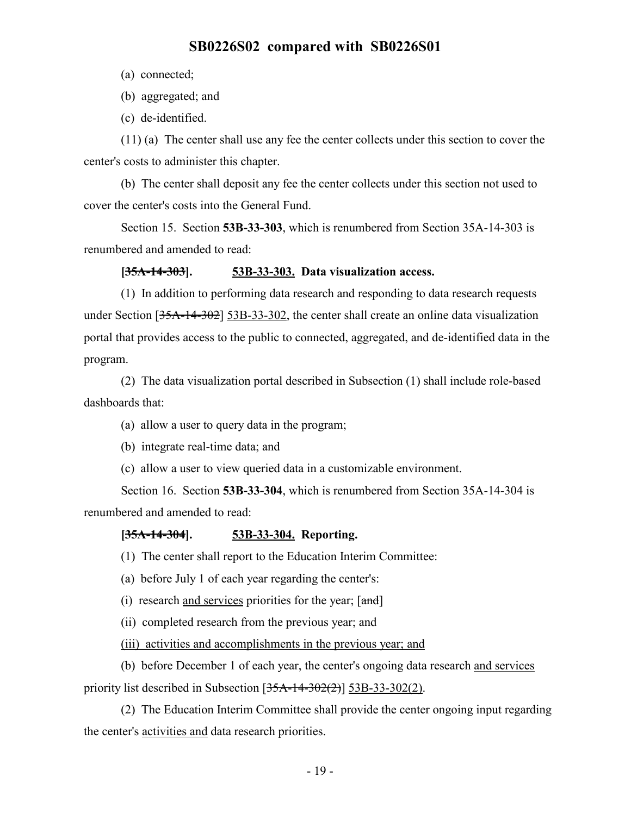(a) connected;

(b) aggregated; and

(c) de-identified.

(11) (a) The center shall use any fee the center collects under this section to cover the center's costs to administer this chapter.

(b) The center shall deposit any fee the center collects under this section not used to cover the center's costs into the General Fund.

Section 15. Section **53B-33-303**, which is renumbered from Section 35A-14-303 is renumbered and amended to read:

#### **[35A-14-303]. 53B-33-303. Data visualization access.**

(1) In addition to performing data research and responding to data research requests under Section [35A-14-302] 53B-33-302, the center shall create an online data visualization portal that provides access to the public to connected, aggregated, and de-identified data in the program.

(2) The data visualization portal described in Subsection (1) shall include role-based dashboards that:

- (a) allow a user to query data in the program;
- (b) integrate real-time data; and
- (c) allow a user to view queried data in a customizable environment.

Section 16. Section **53B-33-304**, which is renumbered from Section 35A-14-304 is renumbered and amended to read:

### **[35A-14-304]. 53B-33-304. Reporting.**

(1) The center shall report to the Education Interim Committee:

(a) before July 1 of each year regarding the center's:

(i) research and services priorities for the year;  $[\text{and}]$ 

(ii) completed research from the previous year; and

(iii) activities and accomplishments in the previous year; and

(b) before December 1 of each year, the center's ongoing data research and services priority list described in Subsection  $[35A-14-302(2)]$  53B-33-302(2).

(2) The Education Interim Committee shall provide the center ongoing input regarding the center's activities and data research priorities.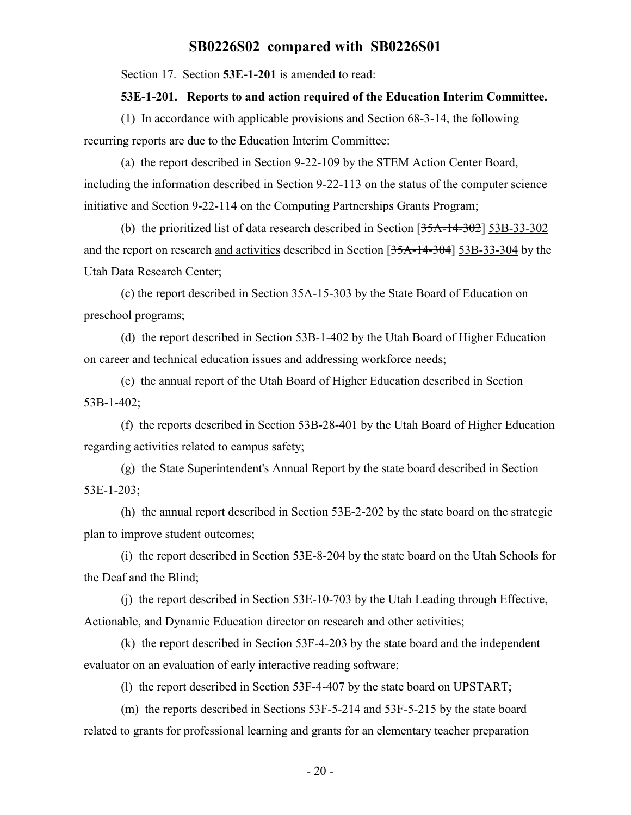Section 17. Section **53E-1-201** is amended to read:

#### **53E-1-201. Reports to and action required of the Education Interim Committee.**

(1) In accordance with applicable provisions and Section 68-3-14, the following recurring reports are due to the Education Interim Committee:

(a) the report described in Section 9-22-109 by the STEM Action Center Board, including the information described in Section 9-22-113 on the status of the computer science initiative and Section 9-22-114 on the Computing Partnerships Grants Program;

(b) the prioritized list of data research described in Section [35A-14-302] 53B-33-302 and the report on research and activities described in Section [35A-14-304] 53B-33-304 by the Utah Data Research Center;

(c) the report described in Section 35A-15-303 by the State Board of Education on preschool programs;

(d) the report described in Section 53B-1-402 by the Utah Board of Higher Education on career and technical education issues and addressing workforce needs;

(e) the annual report of the Utah Board of Higher Education described in Section 53B-1-402;

(f) the reports described in Section 53B-28-401 by the Utah Board of Higher Education regarding activities related to campus safety;

(g) the State Superintendent's Annual Report by the state board described in Section 53E-1-203;

(h) the annual report described in Section 53E-2-202 by the state board on the strategic plan to improve student outcomes;

(i) the report described in Section 53E-8-204 by the state board on the Utah Schools for the Deaf and the Blind;

(j) the report described in Section 53E-10-703 by the Utah Leading through Effective, Actionable, and Dynamic Education director on research and other activities;

(k) the report described in Section 53F-4-203 by the state board and the independent evaluator on an evaluation of early interactive reading software;

(l) the report described in Section 53F-4-407 by the state board on UPSTART;

(m) the reports described in Sections 53F-5-214 and 53F-5-215 by the state board related to grants for professional learning and grants for an elementary teacher preparation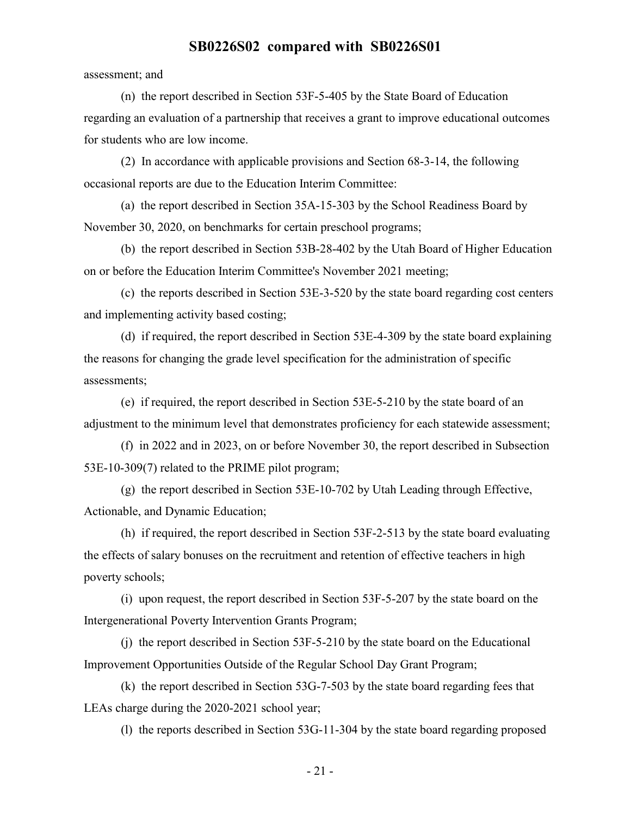assessment; and

(n) the report described in Section 53F-5-405 by the State Board of Education regarding an evaluation of a partnership that receives a grant to improve educational outcomes for students who are low income.

(2) In accordance with applicable provisions and Section 68-3-14, the following occasional reports are due to the Education Interim Committee:

(a) the report described in Section 35A-15-303 by the School Readiness Board by November 30, 2020, on benchmarks for certain preschool programs;

(b) the report described in Section 53B-28-402 by the Utah Board of Higher Education on or before the Education Interim Committee's November 2021 meeting;

(c) the reports described in Section 53E-3-520 by the state board regarding cost centers and implementing activity based costing;

(d) if required, the report described in Section 53E-4-309 by the state board explaining the reasons for changing the grade level specification for the administration of specific assessments;

(e) if required, the report described in Section 53E-5-210 by the state board of an adjustment to the minimum level that demonstrates proficiency for each statewide assessment;

(f) in 2022 and in 2023, on or before November 30, the report described in Subsection 53E-10-309(7) related to the PRIME pilot program;

(g) the report described in Section 53E-10-702 by Utah Leading through Effective, Actionable, and Dynamic Education;

(h) if required, the report described in Section 53F-2-513 by the state board evaluating the effects of salary bonuses on the recruitment and retention of effective teachers in high poverty schools;

(i) upon request, the report described in Section 53F-5-207 by the state board on the Intergenerational Poverty Intervention Grants Program;

(j) the report described in Section 53F-5-210 by the state board on the Educational Improvement Opportunities Outside of the Regular School Day Grant Program;

(k) the report described in Section 53G-7-503 by the state board regarding fees that LEAs charge during the 2020-2021 school year;

(l) the reports described in Section 53G-11-304 by the state board regarding proposed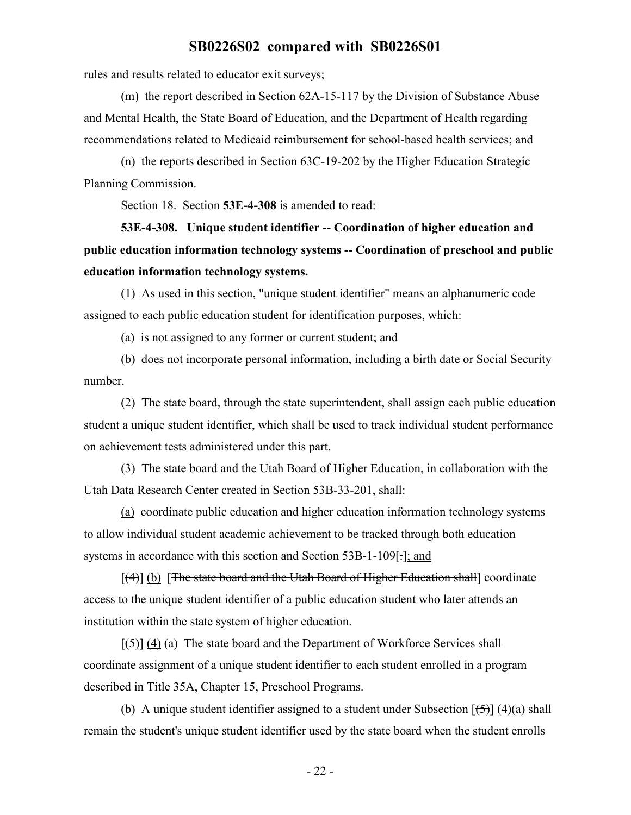rules and results related to educator exit surveys;

(m) the report described in Section 62A-15-117 by the Division of Substance Abuse and Mental Health, the State Board of Education, and the Department of Health regarding recommendations related to Medicaid reimbursement for school-based health services; and

(n) the reports described in Section 63C-19-202 by the Higher Education Strategic Planning Commission.

Section 18. Section **53E-4-308** is amended to read:

**53E-4-308. Unique student identifier -- Coordination of higher education and public education information technology systems -- Coordination of preschool and public education information technology systems.**

(1) As used in this section, "unique student identifier" means an alphanumeric code assigned to each public education student for identification purposes, which:

(a) is not assigned to any former or current student; and

(b) does not incorporate personal information, including a birth date or Social Security number.

(2) The state board, through the state superintendent, shall assign each public education student a unique student identifier, which shall be used to track individual student performance on achievement tests administered under this part.

(3) The state board and the Utah Board of Higher Education, in collaboration with the Utah Data Research Center created in Section 53B-33-201, shall:

(a) coordinate public education and higher education information technology systems to allow individual student academic achievement to be tracked through both education systems in accordance with this section and Section 53B-1-109[.]; and

[(4)] (b) [The state board and the Utah Board of Higher Education shall] coordinate access to the unique student identifier of a public education student who later attends an institution within the state system of higher education.

 $[\frac{1}{5}]$  (4) (a) The state board and the Department of Workforce Services shall coordinate assignment of a unique student identifier to each student enrolled in a program described in Title 35A, Chapter 15, Preschool Programs.

(b) A unique student identifier assigned to a student under Subsection  $[\frac{15}{2}]$  (4)(a) shall remain the student's unique student identifier used by the state board when the student enrolls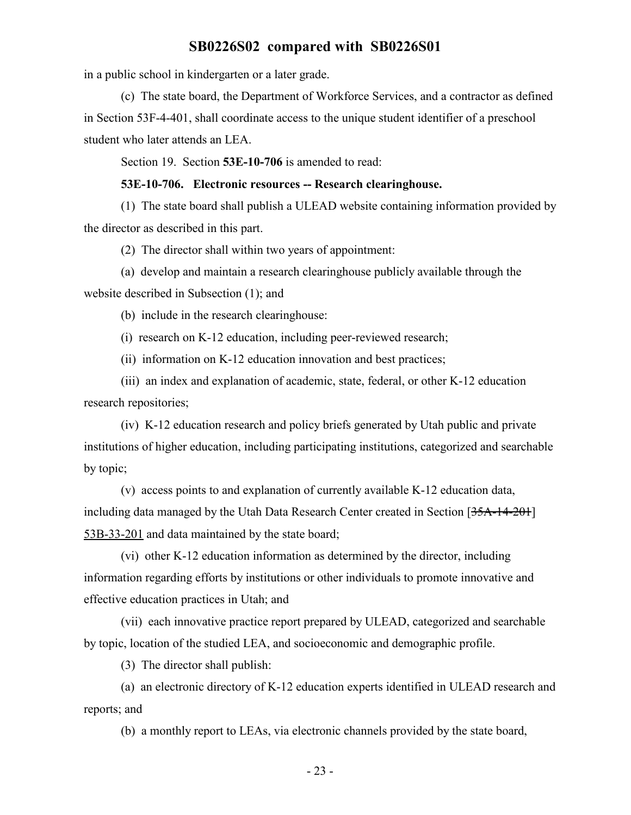in a public school in kindergarten or a later grade.

(c) The state board, the Department of Workforce Services, and a contractor as defined in Section 53F-4-401, shall coordinate access to the unique student identifier of a preschool student who later attends an LEA.

Section 19. Section **53E-10-706** is amended to read:

#### **53E-10-706. Electronic resources -- Research clearinghouse.**

(1) The state board shall publish a ULEAD website containing information provided by the director as described in this part.

(2) The director shall within two years of appointment:

(a) develop and maintain a research clearinghouse publicly available through the website described in Subsection (1); and

(b) include in the research clearinghouse:

(i) research on K-12 education, including peer-reviewed research;

(ii) information on K-12 education innovation and best practices;

(iii) an index and explanation of academic, state, federal, or other K-12 education research repositories;

(iv) K-12 education research and policy briefs generated by Utah public and private institutions of higher education, including participating institutions, categorized and searchable by topic;

(v) access points to and explanation of currently available K-12 education data, including data managed by the Utah Data Research Center created in Section [35A-14-201] 53B-33-201 and data maintained by the state board;

(vi) other K-12 education information as determined by the director, including information regarding efforts by institutions or other individuals to promote innovative and effective education practices in Utah; and

(vii) each innovative practice report prepared by ULEAD, categorized and searchable by topic, location of the studied LEA, and socioeconomic and demographic profile.

(3) The director shall publish:

(a) an electronic directory of K-12 education experts identified in ULEAD research and reports; and

(b) a monthly report to LEAs, via electronic channels provided by the state board,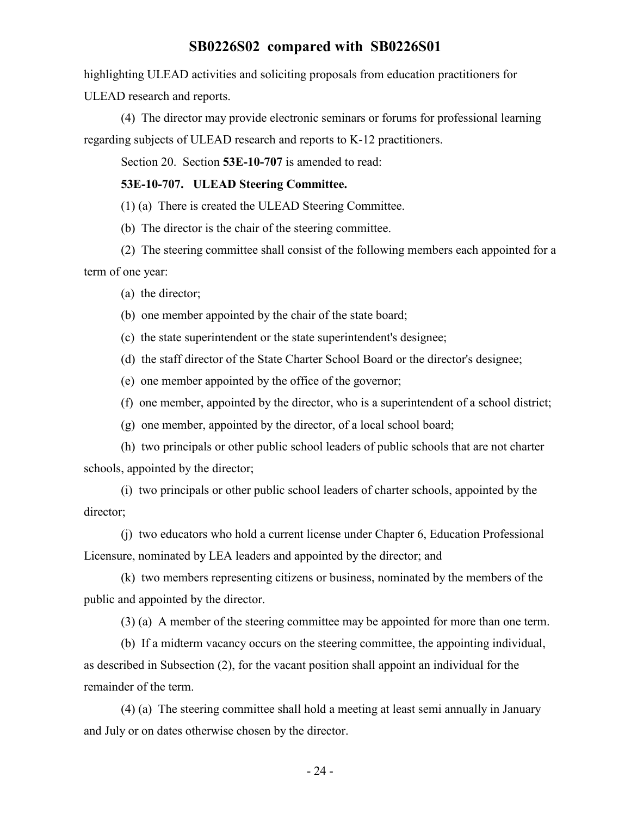highlighting ULEAD activities and soliciting proposals from education practitioners for

ULEAD research and reports.

(4) The director may provide electronic seminars or forums for professional learning regarding subjects of ULEAD research and reports to K-12 practitioners.

Section 20. Section **53E-10-707** is amended to read:

#### **53E-10-707. ULEAD Steering Committee.**

(1) (a) There is created the ULEAD Steering Committee.

(b) The director is the chair of the steering committee.

(2) The steering committee shall consist of the following members each appointed for a term of one year:

(a) the director;

(b) one member appointed by the chair of the state board;

(c) the state superintendent or the state superintendent's designee;

(d) the staff director of the State Charter School Board or the director's designee;

(e) one member appointed by the office of the governor;

(f) one member, appointed by the director, who is a superintendent of a school district;

(g) one member, appointed by the director, of a local school board;

(h) two principals or other public school leaders of public schools that are not charter schools, appointed by the director;

(i) two principals or other public school leaders of charter schools, appointed by the director;

(j) two educators who hold a current license under Chapter 6, Education Professional Licensure, nominated by LEA leaders and appointed by the director; and

(k) two members representing citizens or business, nominated by the members of the public and appointed by the director.

(3) (a) A member of the steering committee may be appointed for more than one term.

(b) If a midterm vacancy occurs on the steering committee, the appointing individual, as described in Subsection (2), for the vacant position shall appoint an individual for the remainder of the term.

(4) (a) The steering committee shall hold a meeting at least semi annually in January and July or on dates otherwise chosen by the director.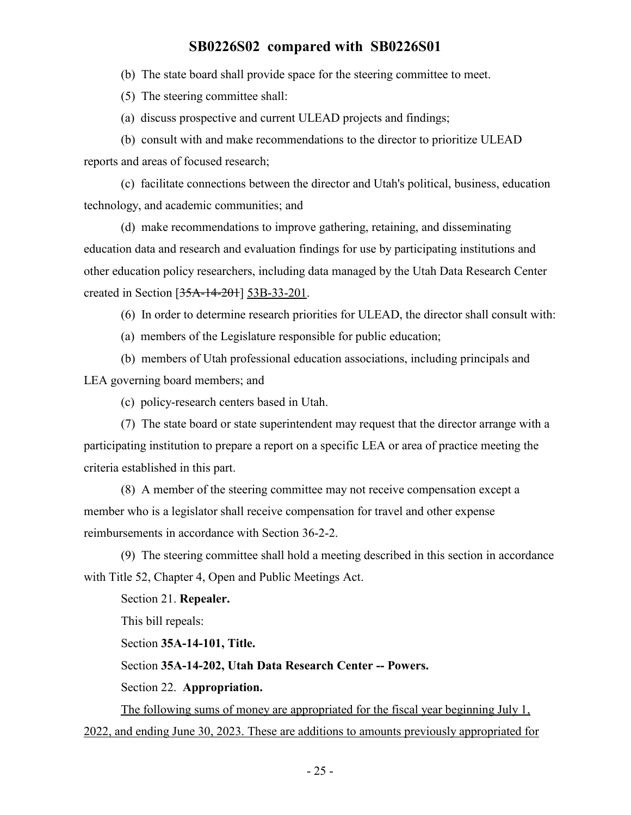(b) The state board shall provide space for the steering committee to meet.

(5) The steering committee shall:

(a) discuss prospective and current ULEAD projects and findings;

(b) consult with and make recommendations to the director to prioritize ULEAD reports and areas of focused research;

(c) facilitate connections between the director and Utah's political, business, education technology, and academic communities; and

(d) make recommendations to improve gathering, retaining, and disseminating education data and research and evaluation findings for use by participating institutions and other education policy researchers, including data managed by the Utah Data Research Center created in Section [35A-14-201] 53B-33-201.

(6) In order to determine research priorities for ULEAD, the director shall consult with:

(a) members of the Legislature responsible for public education;

(b) members of Utah professional education associations, including principals and LEA governing board members; and

(c) policy-research centers based in Utah.

(7) The state board or state superintendent may request that the director arrange with a participating institution to prepare a report on a specific LEA or area of practice meeting the criteria established in this part.

(8) A member of the steering committee may not receive compensation except a member who is a legislator shall receive compensation for travel and other expense reimbursements in accordance with Section 36-2-2.

(9) The steering committee shall hold a meeting described in this section in accordance with Title 52, Chapter 4, Open and Public Meetings Act.

Section 21. **Repealer.**

This bill repeals:

Section **35A-14-101, Title.**

Section **35A-14-202, Utah Data Research Center -- Powers.**

Section 22. **Appropriation.**

The following sums of money are appropriated for the fiscal year beginning July 1, 2022, and ending June 30, 2023. These are additions to amounts previously appropriated for